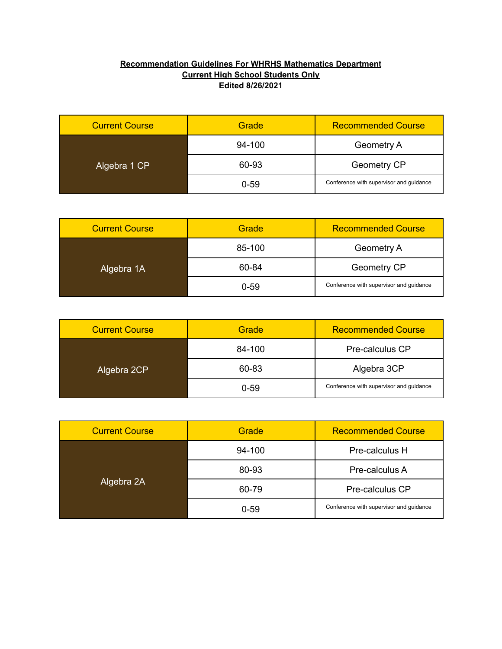## **Recommendation Guidelines For WHRHS Mathematics Department Current High School Students Only Edited 8/26/2021**

| <b>Current Course</b> | Grade    | <b>Recommended Course</b>               |
|-----------------------|----------|-----------------------------------------|
| Algebra 1 CP          | 94-100   | <b>Geometry A</b>                       |
|                       | 60-93    | Geometry CP                             |
|                       | $0 - 59$ | Conference with supervisor and quidance |

| <b>Current Course</b> | Grade    | <b>Recommended Course</b>               |
|-----------------------|----------|-----------------------------------------|
| Algebra 1A            | 85-100   | <b>Geometry A</b>                       |
|                       | 60-84    | Geometry CP                             |
|                       | $0 - 59$ | Conference with supervisor and guidance |

| <b>Current Course</b> | Grade    | <b>Recommended Course</b>               |
|-----------------------|----------|-----------------------------------------|
| Algebra 2CP           | 84-100   | Pre-calculus CP                         |
|                       | 60-83    | Algebra 3CP                             |
|                       | $0 - 59$ | Conference with supervisor and guidance |

| <b>Current Course</b> | Grade    | <b>Recommended Course</b>               |
|-----------------------|----------|-----------------------------------------|
| Algebra 2A            | 94-100   | Pre-calculus H                          |
|                       | 80-93    | Pre-calculus A                          |
|                       | 60-79    | Pre-calculus CP                         |
|                       | $0 - 59$ | Conference with supervisor and guidance |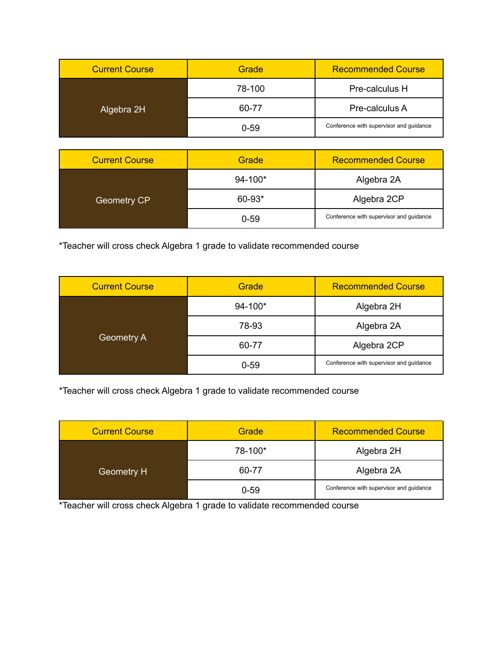| <b>Current Course</b> | Grade    | <b>Recommended Course</b>               |
|-----------------------|----------|-----------------------------------------|
| Algebra 2H            | 78-100   | Pre-calculus H                          |
|                       | 60-77    | Pre-calculus A                          |
|                       | $0 - 59$ | Conference with supervisor and guidance |

| <b>Current Course</b> | Grade       | <b>Recommended Course</b>               |
|-----------------------|-------------|-----------------------------------------|
| <b>Geometry CP</b>    | $94 - 100*$ | Algebra 2A                              |
|                       | $60 - 93*$  | Algebra 2CP                             |
|                       | $0 - 59$    | Conference with supervisor and guidance |

\*Teacher will cross check Algebra 1 grade to validate recommended course

| <b>Current Course</b> | Grade       | <b>Recommended Course</b>               |
|-----------------------|-------------|-----------------------------------------|
| Geometry A            | $94 - 100*$ | Algebra 2H                              |
|                       | 78-93       | Algebra 2A                              |
|                       | 60-77       | Algebra 2CP                             |
|                       | $0 - 59$    | Conference with supervisor and guidance |

\*Teacher will cross check Algebra 1 grade to validate recommended course

| <b>Current Course</b> | Grade    | <b>Recommended Course</b>               |
|-----------------------|----------|-----------------------------------------|
|                       | 78-100*  | Algebra 2H                              |
| Geometry H            | 60-77    | Algebra 2A                              |
|                       | $0 - 59$ | Conference with supervisor and guidance |

\*Teacher will cross check Algebra 1 grade to validate recommended course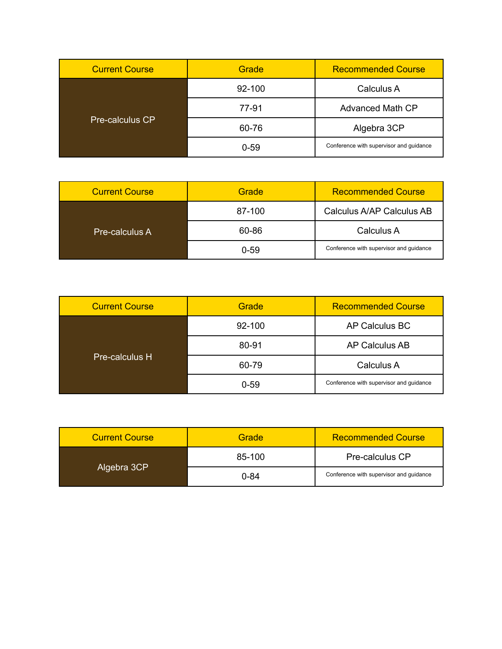| <b>Current Course</b> | Grade      | <b>Recommended Course</b>               |
|-----------------------|------------|-----------------------------------------|
| Pre-calculus CP       | $92 - 100$ | Calculus A                              |
|                       | 77-91      | <b>Advanced Math CP</b>                 |
|                       | 60-76      | Algebra 3CP                             |
|                       | $0 - 59$   | Conference with supervisor and quidance |

| <b>Current Course</b> | Grade    | <b>Recommended Course</b>               |
|-----------------------|----------|-----------------------------------------|
| Pre-calculus A        | 87-100   | Calculus A/AP Calculus AB               |
|                       | 60-86    | Calculus A                              |
|                       | $0 - 59$ | Conference with supervisor and guidance |

| <b>Current Course</b> | Grade    | <b>Recommended Course</b>               |
|-----------------------|----------|-----------------------------------------|
| Pre-calculus H        | 92-100   | AP Calculus BC                          |
|                       | 80-91    | AP Calculus AB                          |
|                       | 60-79    | Calculus A                              |
|                       | $0 - 59$ | Conference with supervisor and guidance |

| <b>Current Course</b> | Grade    | <b>Recommended Course</b>               |
|-----------------------|----------|-----------------------------------------|
|                       | 85-100   | Pre-calculus CP                         |
| Algebra 3CP           | $0 - 84$ | Conference with supervisor and quidance |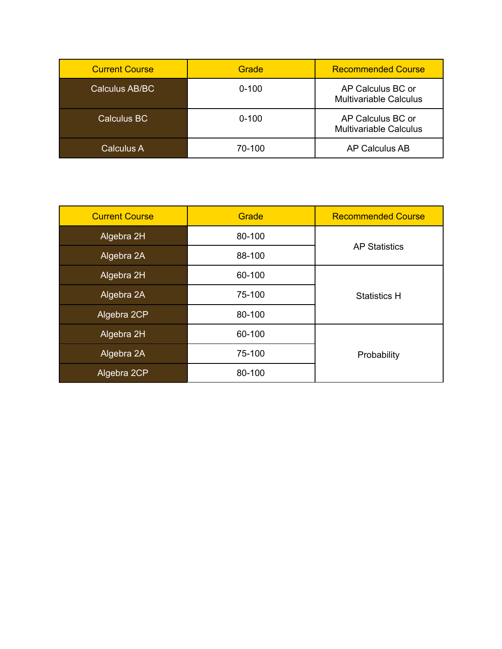| <b>Current Course</b> | Grade     | <b>Recommended Course</b>                          |
|-----------------------|-----------|----------------------------------------------------|
| Calculus AB/BC        | $0 - 100$ | AP Calculus BC or<br><b>Multivariable Calculus</b> |
| Calculus BC           | $0 - 100$ | AP Calculus BC or<br><b>Multivariable Calculus</b> |
| Calculus A            | 70-100    | AP Calculus AB                                     |

| <b>Current Course</b> | Grade  | <b>Recommended Course</b> |
|-----------------------|--------|---------------------------|
| Algebra 2H            | 80-100 |                           |
| Algebra 2A            | 88-100 | <b>AP Statistics</b>      |
| Algebra 2H            | 60-100 |                           |
| Algebra 2A            | 75-100 | <b>Statistics H</b>       |
| Algebra 2CP           | 80-100 |                           |
| Algebra 2H            | 60-100 |                           |
| Algebra 2A            | 75-100 | Probability               |
| Algebra 2CP           | 80-100 |                           |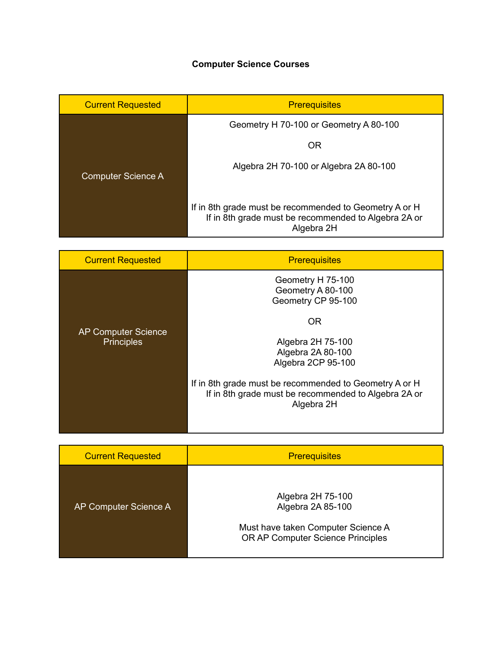## **Computer Science Courses**

| <b>Current Requested</b> | <b>Prerequisites</b>                                                                                                         |  |
|--------------------------|------------------------------------------------------------------------------------------------------------------------------|--|
|                          | Geometry H 70-100 or Geometry A 80-100                                                                                       |  |
|                          | 0R                                                                                                                           |  |
| Computer Science A       | Algebra 2H 70-100 or Algebra 2A 80-100                                                                                       |  |
|                          | If in 8th grade must be recommended to Geometry A or H<br>If in 8th grade must be recommended to Algebra 2A or<br>Algebra 2H |  |

| <b>Current Requested</b>                        | <b>Prerequisites</b>                                                                                                         |
|-------------------------------------------------|------------------------------------------------------------------------------------------------------------------------------|
|                                                 | Geometry H 75-100<br>Geometry A 80-100<br>Geometry CP 95-100<br><b>OR</b>                                                    |
| <b>AP Computer Science</b><br><b>Principles</b> | Algebra 2H 75-100<br>Algebra 2A 80-100<br>Algebra 2CP 95-100                                                                 |
|                                                 | If in 8th grade must be recommended to Geometry A or H<br>If in 8th grade must be recommended to Algebra 2A or<br>Algebra 2H |

| <b>Current Requested</b> | <b>Prerequisites</b>                                                                                              |
|--------------------------|-------------------------------------------------------------------------------------------------------------------|
| AP Computer Science A    | Algebra 2H 75-100<br>Algebra 2A 85-100<br>Must have taken Computer Science A<br>OR AP Computer Science Principles |